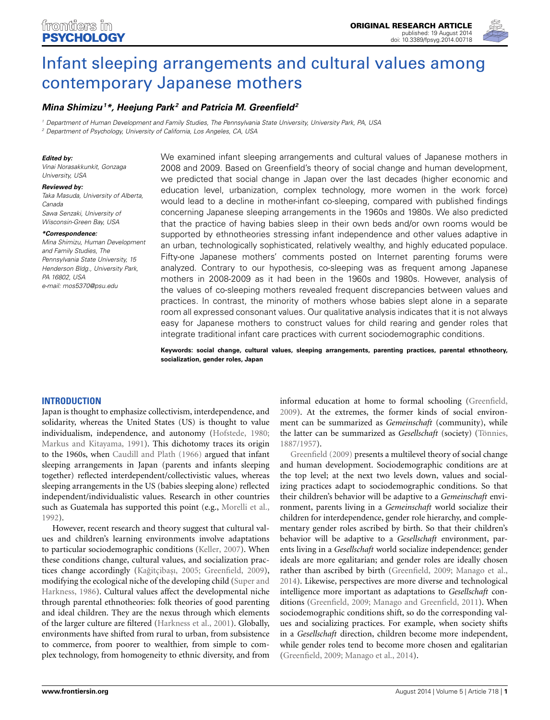

# [Infant sleeping arrangements and cultural values among](http://www.frontiersin.org/journal/10.3389/fpsyg.2014.00718/abstract) contemporary Japanese mothers

## *[Mina Shimizu1](http://community.frontiersin.org/people/u/137126) \*, [Heejung Park2](http://community.frontiersin.org/people/u/174051) and [Patricia M. Greenfield2](http://community.frontiersin.org/people/u/66046)*

*<sup>1</sup> Department of Human Development and Family Studies, The Pennsylvania State University, University Park, PA, USA <sup>2</sup> Department of Psychology, University of California, Los Angeles, CA, USA*

#### *Edited by:*

*Vinai Norasakkunkit, Gonzaga University, USA*

#### *Reviewed by:*

*Taka Masuda, University of Alberta, Canada Sawa Senzaki, University of Wisconsin-Green Bay, USA*

#### *\*Correspondence:*

*Mina Shimizu, Human Development and Family Studies, The Pennsylvania State University, 15 Henderson Bldg., University Park, PA 16802, USA e-mail: [mos5370@psu.edu](mailto:mos5370@psu.edu)*

We examined infant sleeping arrangements and cultural values of Japanese mothers in 2008 and 2009. Based on Greenfield's theory of social change and human development, we predicted that social change in Japan over the last decades (higher economic and education level, urbanization, complex technology, more women in the work force) would lead to a decline in mother-infant co-sleeping, compared with published findings concerning Japanese sleeping arrangements in the 1960s and 1980s. We also predicted that the practice of having babies sleep in their own beds and/or own rooms would be supported by ethnotheories stressing infant independence and other values adaptive in an urban, technologically sophisticated, relatively wealthy, and highly educated populace. Fifty-one Japanese mothers' comments posted on Internet parenting forums were analyzed. Contrary to our hypothesis, co-sleeping was as frequent among Japanese mothers in 2008-2009 as it had been in the 1960s and 1980s. However, analysis of the values of co-sleeping mothers revealed frequent discrepancies between values and practices. In contrast, the minority of mothers whose babies slept alone in a separate room all expressed consonant values. Our qualitative analysis indicates that it is not always easy for Japanese mothers to construct values for child rearing and gender roles that integrate traditional infant care practices with current sociodemographic conditions.

**Keywords: social change, cultural values, sleeping arrangements, parenting practices, parental ethnotheory, socialization, gender roles, Japan**

#### **INTRODUCTION**

Japan is thought to emphasize collectivism, interdependence, and solidarity, whereas the United States (US) is thought to value individualism, independence, and autonomy [\(Hofstede](#page-8-0), [1980;](#page-8-0) [Markus and Kitayama, 1991](#page-9-0)). This dichotomy traces its origin to the 1960s, when [Caudill and Plath](#page-8-1) [\(1966](#page-8-1)) argued that infant sleeping arrangements in Japan (parents and infants sleeping together) reflected interdependent/collectivistic values, whereas sleeping arrangements in the US (babies sleeping alone) reflected independent/individualistic values. Research in other countries such as Guatemala has supported this point (e.g., [Morelli et al.,](#page-9-1) [1992](#page-9-1)).

However, recent research and theory suggest that cultural values and children's learning environments involve adaptations to particular sociodemographic conditions [\(Keller](#page-9-2), [2007](#page-9-2)). When these conditions change, cultural values, and socialization prac-tices change accordingly (Kağitçibaşı, [2005;](#page-9-3) [Greenfield](#page-8-2), [2009](#page-8-2)), modifyin[g the ecological niche of the developing child \(](#page-9-4)Super and Harkness, [1986](#page-9-4)). Cultural values affect the developmental niche through parental ethnotheories: folk theories of good parenting and ideal children. They are the nexus through which elements of the larger culture are filtered [\(Harkness et al., 2001\)](#page-8-3). Globally, environments have shifted from rural to urban, from subsistence to commerce, from poorer to wealthier, from simple to complex technology, from homogeneity to ethnic diversity, and from

informal education at home to formal schooling [\(Greenfield](#page-8-2), [2009](#page-8-2)). At the extremes, the former kinds of social environment can be summarized as *Gemeinschaft* (community), while the latter can be summarized as *Gesellschaft* (society) [\(Tönnies,](#page-9-5) [1887/1957\)](#page-9-5).

Greenfield [\(2009](#page-8-2)) presents a multilevel theory of social change and human development. Sociodemographic conditions are at the top level; at the next two levels down, values and socializing practices adapt to sociodemographic conditions. So that their children's behavior will be adaptive to a *Gemeinschaft* environment, parents living in a *Gemeinschaft* world socialize their children for interdependence, gender role hierarchy, and complementary gender roles ascribed by birth. So that their children's behavior will be adaptive to a *Gesellschaft* environment, parents living in a *Gesellschaft* world socialize independence; gender ideals are more egalitarian; and gender roles are ideally chosen rather than ascribed by birth [\(Greenfield, 2009;](#page-8-2) [Manago et al.,](#page-9-6) [2014](#page-9-6)). Likewise, perspectives are more diverse and technological intelligence more important as adaptations to *Gesellschaft* conditions [\(Greenfield, 2009](#page-8-2); [Manago and Greenfield, 2011](#page-9-7)). When sociodemographic conditions shift, so do the corresponding values and socializing practices. For example, when society shifts in a *Gesellschaft* direction, children become more independent, while gender roles tend to become more chosen and egalitarian [\(Greenfield](#page-8-2), [2009](#page-8-2); [Manago et al., 2014](#page-9-6)).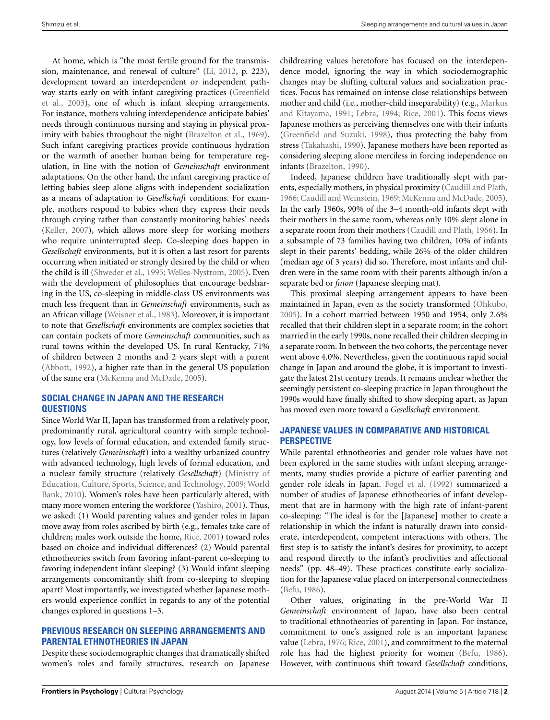At home, which is "the most fertile ground for the transmission, maintenance, and renewal of culture" [\(Li, 2012](#page-9-8), p. 223), development toward an interdependent or independent pathway [starts](#page-8-4) [early](#page-8-4) [on](#page-8-4) [with](#page-8-4) [infant](#page-8-4) [caregiving](#page-8-4) [practices](#page-8-4) [\(](#page-8-4)Greenfield et al., [2003\)](#page-8-4), one of which is infant sleeping arrangements. For instance, mothers valuing interdependence anticipate babies' needs through continuous nursing and staying in physical proximity with babies throughout the night [\(Brazelton et al.](#page-8-5), [1969](#page-8-5)). Such infant caregiving practices provide continuous hydration or the warmth of another human being for temperature regulation, in line with the notion of *Gemeinschaft* environment adaptations. On the other hand, the infant caregiving practice of letting babies sleep alone aligns with independent socialization as a means of adaptation to *Gesellschaft* conditions. For example, mothers respond to babies when they express their needs through crying rather than constantly monitoring babies' needs [\(Keller, 2007\)](#page-9-2), which allows more sleep for working mothers who require uninterrupted sleep. Co-sleeping does happen in *Gesellschaft* environments, but it is often a last resort for parents occurring when initiated or strongly desired by the child or when the child is ill [\(Shweder et al.](#page-9-9), [1995](#page-9-9); [Welles-Nystrom, 2005](#page-9-10)). Even with the development of philosophies that encourage bedsharing in the US, co-sleeping in middle-class US environments was much less frequent than in *Gemeinschaft* environments, such as an African village [\(Weisner et al., 1983](#page-9-11)). Moreover, it is important to note that *Gesellschaft* environments are complex societies that can contain pockets of more *Gemeinschaft* communities, such as rural towns within the developed US. In rural Kentucky, 71% of children between 2 months and 2 years slept with a parent [\(Abbott](#page-8-6), [1992\)](#page-8-6), a higher rate than in the general US population of the same era [\(McKenna and McDade](#page-9-12), [2005](#page-9-12)).

## **SOCIAL CHANGE IN JAPAN AND THE RESEARCH QUESTIONS**

Since World War II, Japan has transformed from a relatively poor, predominantly rural, agricultural country with simple technology, low levels of formal education, and extended family structures (relatively *Gemeinschaft*) into a wealthy urbanized country with advanced technology, high levels of formal education, and a nuclear family structure (relatively *Gesellschaft*) [\(](#page-9-13)Ministry of Educ[ation,](#page-9-14) [Culture,](#page-9-14) [Sports,](#page-9-14) [Science,](#page-9-14) [and](#page-9-14) [Technology,](#page-9-14) [2009](#page-9-13)[;](#page-9-14) World Bank, [2010](#page-9-14)). Women's roles have been particularly altered, with many more women entering the workforce [\(Yashiro, 2001](#page-9-15)). Thus, we asked: (1) Would parenting values and gender roles in Japan move away from roles ascribed by birth (e.g., females take care of children; males work outside the home, [Rice](#page-9-16), [2001\)](#page-9-16) toward roles based on choice and individual differences? (2) Would parental ethnotheories switch from favoring infant-parent co-sleeping to favoring independent infant sleeping? (3) Would infant sleeping arrangements concomitantly shift from co-sleeping to sleeping apart? Most importantly, we investigated whether Japanese mothers would experience conflict in regards to any of the potential changes explored in questions 1–3.

## **PREVIOUS RESEARCH ON SLEEPING ARRANGEMENTS AND PARENTAL ETHNOTHEORIES IN JAPAN**

Despite these sociodemographic changes that dramatically shifted women's roles and family structures, research on Japanese childrearing values heretofore has focused on the interdependence model, ignoring the way in which sociodemographic changes may be shifting cultural values and socialization practices. Focus has remained on intense close relationships between mother and c[hild \(i.e., mother-child inseparability\) \(e.g.,](#page-9-0) Markus and Kitayama, [1991](#page-9-0); [Lebra](#page-9-17), [1994](#page-9-17); [Rice, 2001\)](#page-9-16). This focus views Japanese mothers as perceiving themselves one with their infants [\(Greenfield and Suzuki, 1998](#page-8-7)), thus protecting the baby from stress [\(Takahashi](#page-9-18), [1990](#page-9-18)). Japanese mothers have been reported as considering sleeping alone merciless in forcing independence on infants [\(Brazelton](#page-8-8), [1990](#page-8-8)).

Indeed, Japanese children have traditionally slept with parents, especially mothers, in physical proximity [\(Caudill and Plath](#page-8-1), [1966](#page-8-1); [Caudill and Weinstein, 1969](#page-8-9); [McKenna and McDade, 2005\)](#page-9-12). In the early 1960s, 90% of the 3–4 month-old infants slept with their mothers in the same room, whereas only 10% slept alone in a separate room from their mothers [\(Caudill and Plath, 1966](#page-8-1)). In a subsample of 73 families having two children, 10% of infants slept in their parents' bedding, while 26% of the older children (median age of 3 years) did so. Therefore, most infants and children were in the same room with their parents although in/on a separate bed or *futon* (Japanese sleeping mat).

This proximal sleeping arrangement appears to have been maintained in Japan, even as the society transformed [\(Ohkubo](#page-9-19), [2005](#page-9-19)). In a cohort married between 1950 and 1954, only 2.6% recalled that their children slept in a separate room; in the cohort married in the early 1990s, none recalled their children sleeping in a separate room. In between the two cohorts, the percentage never went above 4.0%. Nevertheless, given the continuous rapid social change in Japan and around the globe, it is important to investigate the latest 21st century trends. It remains unclear whether the seemingly persistent co-sleeping practice in Japan throughout the 1990s would have finally shifted to show sleeping apart, as Japan has moved even more toward a *Gesellschaft* environment.

## **JAPANESE VALUES IN COMPARATIVE AND HISTORICAL PERSPECTIVE**

While parental ethnotheories and gender role values have not been explored in the same studies with infant sleeping arrangements, many studies provide a picture of earlier parenting and gender role ideals in Japan. [Fogel et al.](#page-8-10) [\(1992\)](#page-8-10) summarized a number of studies of Japanese ethnotheories of infant development that are in harmony with the high rate of infant-parent co-sleeping: "The ideal is for the [Japanese] mother to create a relationship in which the infant is naturally drawn into considerate, interdependent, competent interactions with others. The first step is to satisfy the infant's desires for proximity, to accept and respond directly to the infant's proclivities and affectional needs" (pp. 48–49). These practices constitute early socialization for the Japanese value placed on interpersonal connectedness [\(Befu](#page-8-11), [1986\)](#page-8-11).

Other values, originating in the pre-World War II *Gemeinschaft* environment of Japan, have also been central to traditional ethnotheories of parenting in Japan. For instance, commitment to one's assigned role is an important Japanese value [\(Lebra](#page-9-20), [1976;](#page-9-20) [Rice](#page-9-16), [2001\)](#page-9-16), and commitment to the maternal role has had the highest priority for women [\(Befu, 1986\)](#page-8-11). However, with continuous shift toward *Gesellschaft* conditions,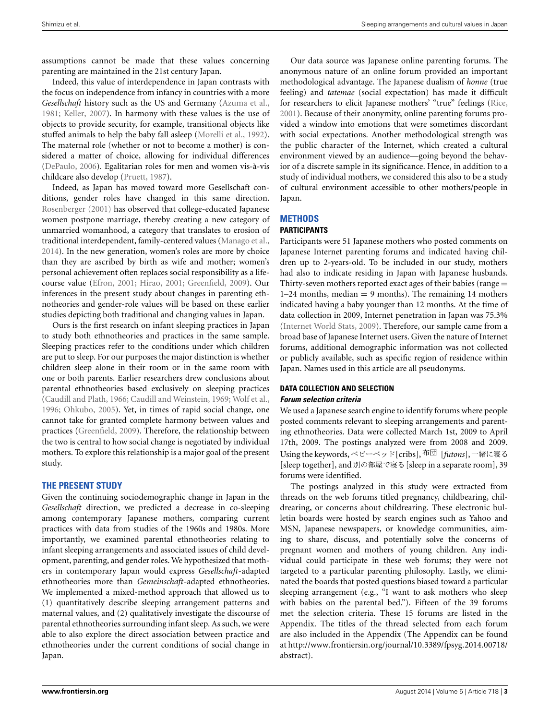assumptions cannot be made that these values concerning parenting are maintained in the 21st century Japan.

Indeed, this value of interdependence in Japan contrasts with the focus on independence from infancy in countries with a more *Gesellschaft* history such as the US and Germany [\(Azuma et al.,](#page-8-12) [1981](#page-8-12); [Keller](#page-9-2), [2007](#page-9-2)). In harmony with these values is the use of objects to provide security, for example, transitional objects like stuffed animals to help the baby fall asleep [\(Morelli et al., 1992](#page-9-1)). The maternal role (whether or not to become a mother) is considered a matter of choice, allowing for individual differences [\(DePaulo](#page-8-13), [2006\)](#page-8-13). Egalitarian roles for men and women vis-à-vis childcare also develop [\(Pruett, 1987](#page-9-21)).

Indeed, as Japan has moved toward more Gesellschaft conditions, gender roles have changed in this same direction. [Rosenberger](#page-9-22) [\(2001\)](#page-9-22) has observed that college-educated Japanese women postpone marriage, thereby creating a new category of unmarried womanhood, a category that translates to erosion of traditional interdependent, family-centered values [\(Manago et al.,](#page-9-6) [2014](#page-9-6)). In the new generation, women's roles are more by choice than they are ascribed by birth as wife and mother; women's personal achievement often replaces social responsibility as a lifecourse value [\(Efron, 2001;](#page-8-14) [Hirao, 2001;](#page-8-15) [Greenfield, 2009\)](#page-8-2). Our inferences in the present study about changes in parenting ethnotheories and gender-role values will be based on these earlier studies depicting both traditional and changing values in Japan.

Ours is the first research on infant sleeping practices in Japan to study both ethnotheories and practices in the same sample. Sleeping practices refer to the conditions under which children are put to sleep. For our purposes the major distinction is whether children sleep alone in their room or in the same room with one or both parents. Earlier researchers drew conclusions about parental ethnotheories based exclusively on sleeping practices [\(Caudill and Plath, 1966](#page-8-1); [Caudill and Weinstein](#page-8-9), [1969;](#page-8-9) [Wolf et al.,](#page-9-23) [1996](#page-9-23); [Ohkubo, 2005\)](#page-9-19). Yet, in times of rapid social change, one cannot take for granted complete harmony between values and practices [\(Greenfield](#page-8-2), [2009\)](#page-8-2). Therefore, the relationship between the two is central to how social change is negotiated by individual mothers. To explore this relationship is a major goal of the present study.

#### **THE PRESENT STUDY**

Given the continuing sociodemographic change in Japan in the *Gesellschaft* direction, we predicted a decrease in co-sleeping among contemporary Japanese mothers, comparing current practices with data from studies of the 1960s and 1980s. More importantly, we examined parental ethnotheories relating to infant sleeping arrangements and associated issues of child development, parenting, and gender roles. We hypothesized that mothers in contemporary Japan would express *Gesellschaft*-adapted ethnotheories more than *Gemeinschaft*-adapted ethnotheories. We implemented a mixed-method approach that allowed us to (1) quantitatively describe sleeping arrangement patterns and maternal values, and (2) qualitatively investigate the discourse of parental ethnotheories surrounding infant sleep. As such, we were able to also explore the direct association between practice and ethnotheories under the current conditions of social change in Japan.

Our data source was Japanese online parenting forums. The anonymous nature of an online forum provided an important methodological advantage. The Japanese dualism of *honne* (true feeling) and *tatemae* (social expectation) has made it difficult for researchers to elicit Japanese mothers' "true" feelings [\(Rice,](#page-9-16) [2001](#page-9-16)). Because of their anonymity, online parenting forums provided a window into emotions that were sometimes discordant with social expectations. Another methodological strength was the public character of the Internet, which created a cultural environment viewed by an audience—going beyond the behavior of a discrete sample in its significance. Hence, in addition to a study of individual mothers, we considered this also to be a study of cultural environment accessible to other mothers/people in Japan.

## **METHODS**

#### **PARTICIPANTS**

Participants were 51 Japanese mothers who posted comments on Japanese Internet parenting forums and indicated having children up to 2-years-old. To be included in our study, mothers had also to indicate residing in Japan with Japanese husbands. Thirty-seven mothers reported exact ages of their babies (range =  $1-24$  months, median  $= 9$  months). The remaining 14 mothers indicated having a baby younger than 12 months. At the time of data collection in 2009, Internet penetration in Japan was 75.3% [\(Internet World Stats](#page-8-16), [2009\)](#page-8-16). Therefore, our sample came from a broad base of Japanese Internet users. Given the nature of Internet forums, additional demographic information was not collected or publicly available, such as specific region of residence within Japan. Names used in this article are all pseudonyms.

## **DATA COLLECTION AND SELECTION**

#### *Forum selection criteria*

We used a Japanese search engine to identify forums where people posted comments relevant to sleeping arrangements and parenting ethnotheories. Data were collected March 1st, 2009 to April 17th, 2009. The postings analyzed were from 2008 and 2009. Using the keywords,ベビーベッド[cribs], <sup>布団</sup> [*futons*],一緒に寝る [sleep together], and 別の部屋で寝る [sleep in a separate room], 39 forums were identified.

The postings analyzed in this study were extracted from threads on the web forums titled pregnancy, childbearing, childrearing, or concerns about childrearing. These electronic bulletin boards were hosted by search engines such as Yahoo and MSN, Japanese newspapers, or knowledge communities, aiming to share, discuss, and potentially solve the concerns of pregnant women and mothers of young children. Any individual could participate in these web forums; they were not targeted to a particular parenting philosophy. Lastly, we eliminated the boards that posted questions biased toward a particular sleeping arrangement (e.g., "I want to ask mothers who sleep with babies on the parental bed."). Fifteen of the 39 forums met the selection criteria. These 15 forums are listed in the Appendix. The titles of the thread selected from each forum are also included in the Appendix (The Appendix can be found at http://www*.*frontiersin*.*[org/journal/10](http://www.frontiersin.org/journal/10.3389/fpsyg.2014.00718/abstract)*.*3389/fpsyg*.*2014*.*00718/ [abstract\)](http://www.frontiersin.org/journal/10.3389/fpsyg.2014.00718/abstract).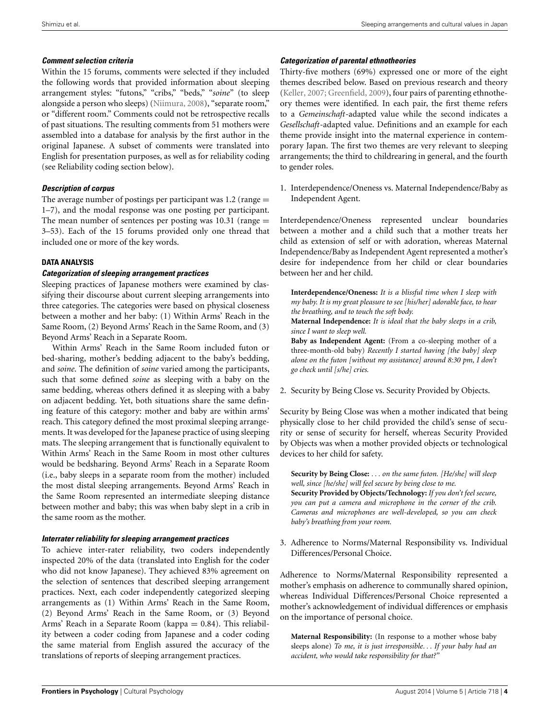#### *Comment selection criteria*

Within the 15 forums, comments were selected if they included the following words that provided information about sleeping arrangement styles: "futons," "cribs," "beds," "*soine*" (to sleep alongside a person who sleeps) [\(Niimura, 2008\)](#page-9-24), "separate room," or "different room." Comments could not be retrospective recalls of past situations. The resulting comments from 51 mothers were assembled into a database for analysis by the first author in the original Japanese. A subset of comments were translated into English for presentation purposes, as well as for reliability coding (see Reliability coding section below).

## *Description of corpus*

The average number of postings per participant was  $1.2$  (range  $=$ 1–7), and the modal response was one posting per participant. The mean number of sentences per posting was  $10.31$  (range  $=$ 3–53). Each of the 15 forums provided only one thread that included one or more of the key words.

## **DATA ANALYSIS**

## *Categorization of sleeping arrangement practices*

Sleeping practices of Japanese mothers were examined by classifying their discourse about current sleeping arrangements into three categories. The categories were based on physical closeness between a mother and her baby: (1) Within Arms' Reach in the Same Room, (2) Beyond Arms' Reach in the Same Room, and (3) Beyond Arms' Reach in a Separate Room.

Within Arms' Reach in the Same Room included futon or bed-sharing, mother's bedding adjacent to the baby's bedding, and *soine*. The definition of *soine* varied among the participants, such that some defined *soine* as sleeping with a baby on the same bedding, whereas others defined it as sleeping with a baby on adjacent bedding. Yet, both situations share the same defining feature of this category: mother and baby are within arms' reach. This category defined the most proximal sleeping arrangements. It was developed for the Japanese practice of using sleeping mats. The sleeping arrangement that is functionally equivalent to Within Arms' Reach in the Same Room in most other cultures would be bedsharing. Beyond Arms' Reach in a Separate Room (i.e., baby sleeps in a separate room from the mother) included the most distal sleeping arrangements. Beyond Arms' Reach in the Same Room represented an intermediate sleeping distance between mother and baby; this was when baby slept in a crib in the same room as the mother.

## *Interrater reliability for sleeping arrangement practices*

To achieve inter-rater reliability, two coders independently inspected 20% of the data (translated into English for the coder who did not know Japanese). They achieved 83% agreement on the selection of sentences that described sleeping arrangement practices. Next, each coder independently categorized sleeping arrangements as (1) Within Arms' Reach in the Same Room, (2) Beyond Arms' Reach in the Same Room, or (3) Beyond Arms' Reach in a Separate Room (kappa  $= 0.84$ ). This reliability between a coder coding from Japanese and a coder coding the same material from English assured the accuracy of the translations of reports of sleeping arrangement practices.

## *Categorization of parental ethnotheories*

Thirty-five mothers (69%) expressed one or more of the eight themes described below. Based on previous research and theory [\(Keller, 2007](#page-9-2); [Greenfield](#page-8-2), [2009\)](#page-8-2), four pairs of parenting ethnotheory themes were identified. In each pair, the first theme refers to a *Gemeinschaft*-adapted value while the second indicates a *Gesellschaft*-adapted value. Definitions and an example for each theme provide insight into the maternal experience in contemporary Japan. The first two themes are very relevant to sleeping arrangements; the third to childrearing in general, and the fourth to gender roles.

1. Interdependence/Oneness vs. Maternal Independence/Baby as Independent Agent.

Interdependence/Oneness represented unclear boundaries between a mother and a child such that a mother treats her child as extension of self or with adoration, whereas Maternal Independence/Baby as Independent Agent represented a mother's desire for independence from her child or clear boundaries between her and her child.

**Interdependence/Oneness:** *It is a blissful time when I sleep with my baby. It is my great pleasure to see [his/her] adorable face, to hear the breathing, and to touch the soft body.*

**Maternal Independence:** *It is ideal that the baby sleeps in a crib, since I want to sleep well.*

**Baby as Independent Agent:** (From a co-sleeping mother of a three-month-old baby) *Recently I started having [the baby] sleep alone on the futon [without my assistance] around 8:30 pm, I don't go check until [s/he] cries.*

2. Security by Being Close vs. Security Provided by Objects.

Security by Being Close was when a mother indicated that being physically close to her child provided the child's sense of security or sense of security for herself, whereas Security Provided by Objects was when a mother provided objects or technological devices to her child for safety.

**Security by Being Close:** *... on the same futon. [He/she] will sleep well, since [he/she] will feel secure by being close to me.* **Security Provided by Objects/Technology:** *If you don't feel secure, you can put a camera and microphone in the corner of the crib. Cameras and microphones are well-developed, so you can check baby's breathing from your room.*

3. Adherence to Norms/Maternal Responsibility vs. Individual Differences/Personal Choice.

Adherence to Norms/Maternal Responsibility represented a mother's emphasis on adherence to communally shared opinion, whereas Individual Differences/Personal Choice represented a mother's acknowledgement of individual differences or emphasis on the importance of personal choice.

**Maternal Responsibility:** (In response to a mother whose baby sleeps alone) *To me, it is just irresponsible... If your baby had an accident, who would take responsibility for that?"*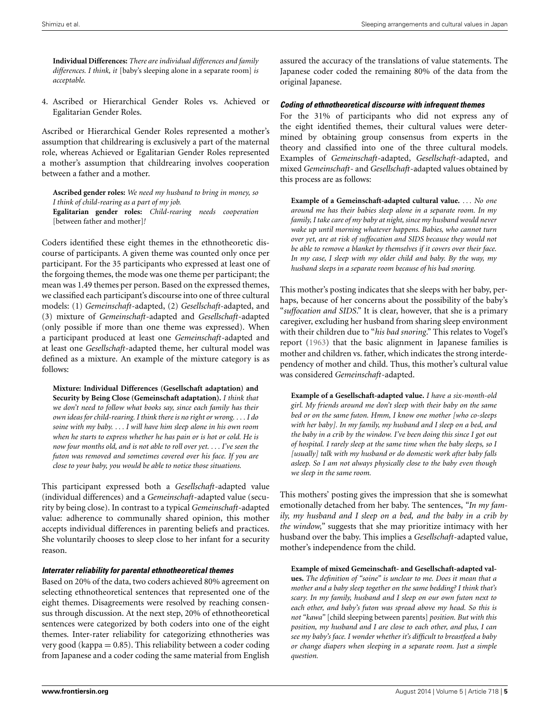**Individual Differences:** *There are individual differences and family differences. I think, it* [baby's sleeping alone in a separate room] *is acceptable.*

4. Ascribed or Hierarchical Gender Roles vs. Achieved or Egalitarian Gender Roles.

Ascribed or Hierarchical Gender Roles represented a mother's assumption that childrearing is exclusively a part of the maternal role, whereas Achieved or Egalitarian Gender Roles represented a mother's assumption that childrearing involves cooperation between a father and a mother.

**Ascribed gender roles:** *We need my husband to bring in money, so I think of child-rearing as a part of my job.* **Egalitarian gender roles:** *Child-rearing needs cooperation* [between father and mother]*!*

Coders identified these eight themes in the ethnotheoretic discourse of participants. A given theme was counted only once per participant. For the 35 participants who expressed at least one of the forgoing themes, the mode was one theme per participant; the mean was 1.49 themes per person. Based on the expressed themes, we classified each participant's discourse into one of three cultural models: (1) *Gemeinschaft*-adapted, (2) *Gesellschaft-*adapted, and (3) mixture of *Gemeinschaft*-adapted and *Gesellschaft*-adapted (only possible if more than one theme was expressed). When a participant produced at least one *Gemeinschaft*-adapted and at least one *Gesellschaft*-adapted theme, her cultural model was defined as a mixture. An example of the mixture category is as follows:

**Mixture: Individual Differences (Gesellschaft adaptation) and Security by Being Close (Gemeinschaft adaptation).** *I think that we don't need to follow what books say, since each family has their own ideas for child-rearing. I think there is no right or wrong. ... I do soine with my baby. ... I will have him sleep alone in his own room when he starts to express whether he has pain or is hot or cold. He is now four months old, and is not able to roll over yet. ... I've seen the futon was removed and sometimes covered over his face. If you are close to your baby, you would be able to notice those situations.*

This participant expressed both a *Gesellschaft*-adapted value (individual differences) and a *Gemeinschaft*-adapted value (security by being close). In contrast to a typical *Gemeinschaft*-adapted value: adherence to communally shared opinion, this mother accepts individual differences in parenting beliefs and practices. She voluntarily chooses to sleep close to her infant for a security reason.

#### *Interrater reliability for parental ethnotheoretical themes*

Based on 20% of the data, two coders achieved 80% agreement on selecting ethnotheoretical sentences that represented one of the eight themes. Disagreements were resolved by reaching consensus through discussion. At the next step, 20% of ethnotheoretical sentences were categorized by both coders into one of the eight themes. Inter-rater reliability for categorizing ethnotheries was very good (kappa  $= 0.85$ ). This reliability between a coder coding from Japanese and a coder coding the same material from English assured the accuracy of the translations of value statements. The Japanese coder coded the remaining 80% of the data from the original Japanese.

#### *Coding of ethnotheoretical discourse with infrequent themes*

For the 31% of participants who did not express any of the eight identified themes, their cultural values were determined by obtaining group consensus from experts in the theory and classified into one of the three cultural models. Examples of *Gemeinschaft*-adapted, *Gesellschaft*-adapted, and mixed *Gemeinschaft*- and *Gesellschaft*-adapted values obtained by this process are as follows:

**Example of a Gemeinschaft-adapted cultural value.** *... No one around me has their babies sleep alone in a separate room. In my family, I take care of my baby at night, since my husband would never wake up until morning whatever happens. Babies, who cannot turn over yet, are at risk of suffocation and SIDS because they would not be able to remove a blanket by themselves if it covers over their face. In my case, I sleep with my older child and baby. By the way, my husband sleeps in a separate room because of his bad snoring.*

This mother's posting indicates that she sleeps with her baby, perhaps, because of her concerns about the possibility of the baby's "*suffocation and SIDS*." It is clear, however, that she is a primary caregiver, excluding her husband from sharing sleep environment with their children due to "*his bad snoring*." This relates to Vogel's report [\(1963\)](#page-9-25) that the basic alignment in Japanese families is mother and children vs. father, which indicates the strong interdependency of mother and child. Thus, this mother's cultural value was considered *Gemeinschaft*-adapted.

**Example of a Gesellschaft-adapted value.** *I have a six-month-old girl. My friends around me don't sleep with their baby on the same bed or on the same futon. Hmm, I know one mother [who co-sleeps with her baby]. In my family, my husband and I sleep on a bed, and the baby in a crib by the window. I've been doing this since I got out of hospital. I rarely sleep at the same time when the baby sleeps, so I [usually] talk with my husband or do domestic work after baby falls asleep. So I am not always physically close to the baby even though we sleep in the same room.*

This mothers' posting gives the impression that she is somewhat emotionally detached from her baby. The sentences, *"In my family, my husband and I sleep on a bed, and the baby in a crib by the window,"* suggests that she may prioritize intimacy with her husband over the baby. This implies a *Gesellschaft*-adapted value, mother's independence from the child.

#### **Example of mixed Gemeinschaft- and Gesellschaft-adapted val-**

**ues.** *The definition of "soine" is unclear to me. Does it mean that a mother and a baby sleep together on the same bedding? I think that's scary. In my family, husband and I sleep on our own futon next to each other, and baby's futon was spread above my head. So this is not "kawa"* [child sleeping between parents] *position. But with this position, my husband and I are close to each other, and plus, I can see my baby's face. I wonder whether it's difficult to breastfeed a baby or change diapers when sleeping in a separate room. Just a simple question.*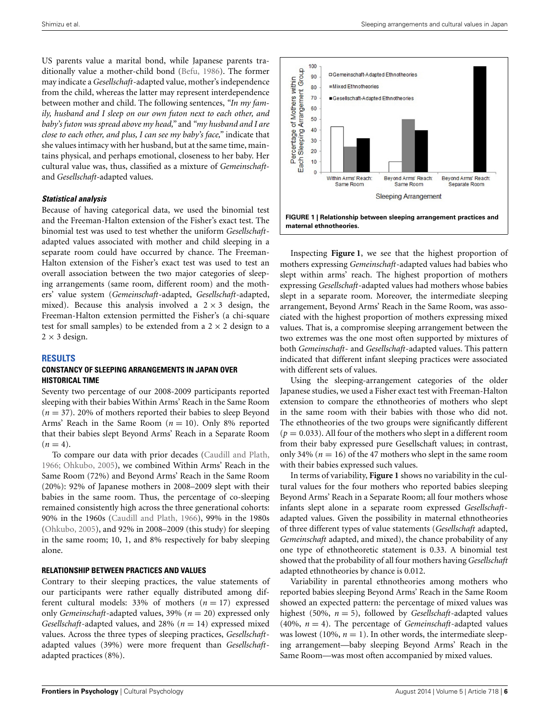US parents value a marital bond, while Japanese parents traditionally value a mother-child bond [\(Befu, 1986\)](#page-8-11). The former may indicate a *Gesellschaft*-adapted value, mother's independence from the child, whereas the latter may represent interdependence between mother and child. The following sentences, *"In my family, husband and I sleep on our own futon next to each other, and baby's futon was spread above my head,"* and *"my husband and I are close to each other, and plus, I can see my baby's face,"* indicate that she values intimacy with her husband, but at the same time, maintains physical, and perhaps emotional, closeness to her baby. Her cultural value was, thus, classified as a mixture of *Gemeinschaft*and *Gesellschaft-*adapted values.

#### *Statistical analysis*

Because of having categorical data, we used the binomial test and the Freeman-Halton extension of the Fisher's exact test. The binomial test was used to test whether the uniform *Gesellschaft*adapted values associated with mother and child sleeping in a separate room could have occurred by chance. The Freeman-Halton extension of the Fisher's exact test was used to test an overall association between the two major categories of sleeping arrangements (same room, different room) and the mothers' value system (*Gemeinschaft*-adapted, *Gesellschaft*-adapted, mixed). Because this analysis involved a  $2 \times 3$  design, the Freeman-Halton extension permitted the Fisher's (a chi-square test for small samples) to be extended from a  $2 \times 2$  design to a  $2 \times 3$  design.

#### **RESULTS**

#### **CONSTANCY OF SLEEPING ARRANGEMENTS IN JAPAN OVER HISTORICAL TIME**

Seventy two percentage of our 2008-2009 participants reported sleeping with their babies Within Arms' Reach in the Same Room  $(n = 37)$ . 20% of mothers reported their babies to sleep Beyond Arms' Reach in the Same Room (*n* = 10). Only 8% reported that their babies slept Beyond Arms' Reach in a Separate Room  $(n = 4)$ .

To compare our data with prior decades [\(Caudill and Plath,](#page-8-1) [1966](#page-8-1); [Ohkubo](#page-9-19), [2005](#page-9-19)), we combined Within Arms' Reach in the Same Room (72%) and Beyond Arms' Reach in the Same Room (20%): 92% of Japanese mothers in 2008–2009 slept with their babies in the same room. Thus, the percentage of co-sleeping remained consistently high across the three generational cohorts: 90% in the 1960s [\(Caudill and Plath, 1966\)](#page-8-1), 99% in the 1980s [\(Ohkubo](#page-9-19), [2005](#page-9-19)), and 92% in 2008–2009 (this study) for sleeping in the same room; 10, 1, and 8% respectively for baby sleeping alone.

#### **RELATIONSHIP BETWEEN PRACTICES AND VALUES**

Contrary to their sleeping practices, the value statements of our participants were rather equally distributed among different cultural models: 33% of mothers (*n* = 17) expressed only *Gemeinschaft*-adapted values, 39% (*n* = 20) expressed only *Gesellschaft*-adapted values, and 28% ( $n = 14$ ) expressed mixed values. Across the three types of sleeping practices, *Gesellschaft*adapted values (39%) were more frequent than *Gesellschaft*adapted practices (8%).



<span id="page-5-0"></span>Inspecting **[Figure 1](#page-5-0)**, we see that the highest proportion of mothers expressing *Gemeinschaft*-adapted values had babies who slept within arms' reach. The highest proportion of mothers expressing *Gesellschaft*-adapted values had mothers whose babies slept in a separate room. Moreover, the intermediate sleeping arrangement, Beyond Arms' Reach in the Same Room, was associated with the highest proportion of mothers expressing mixed values. That is, a compromise sleeping arrangement between the two extremes was the one most often supported by mixtures of both *Gemeinschaft*- and *Gesellschaft*-adapted values. This pattern indicated that different infant sleeping practices were associated with different sets of values.

Using the sleeping-arrangement categories of the older Japanese studies, we used a Fisher exact test with Freeman-Halton extension to compare the ethnotheories of mothers who slept in the same room with their babies with those who did not. The ethnotheories of the two groups were significantly different  $(p = 0.033)$ . All four of the mothers who slept in a different room from their baby expressed pure Gesellschaft values; in contrast, only 34% ( $n = 16$ ) of the 47 mothers who slept in the same room with their babies expressed such values.

In terms of variability, **[Figure 1](#page-5-0)** shows no variability in the cultural values for the four mothers who reported babies sleeping Beyond Arms' Reach in a Separate Room; all four mothers whose infants slept alone in a separate room expressed *Gesellschaft*adapted values. Given the possibility in maternal ethnotheories of three different types of value statements (*Gesellschaft* adapted, *Gemeinschaft* adapted, and mixed), the chance probability of any one type of ethnotheoretic statement is 0.33. A binomial test showed that the probability of all four mothers having *Gesellschaft* adapted ethnotheories by chance is 0.012.

Variability in parental ethnotheories among mothers who reported babies sleeping Beyond Arms' Reach in the Same Room showed an expected pattern: the percentage of mixed values was highest (50%, *n* = 5), followed by *Gesellschaft*-adapted values (40%,  $n = 4$ ). The percentage of *Gemeinschaft*-adapted values was lowest (10%,  $n = 1$ ). In other words, the intermediate sleeping arrangement—baby sleeping Beyond Arms' Reach in the Same Room—was most often accompanied by mixed values.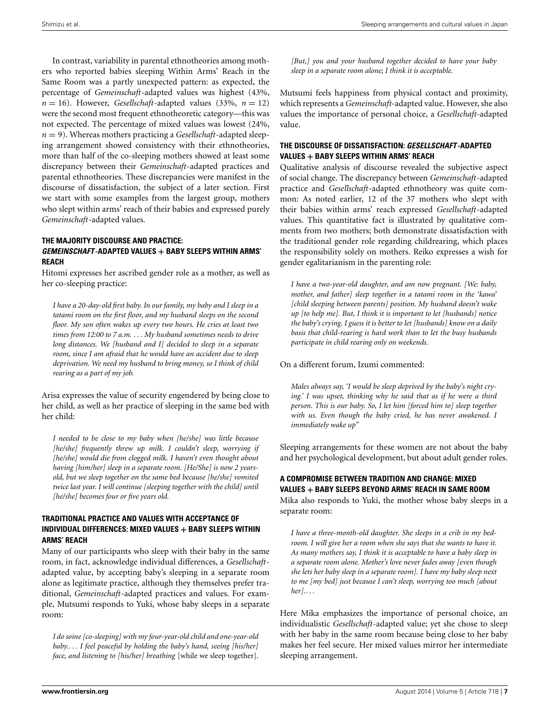In contrast, variability in parental ethnotheories among mothers who reported babies sleeping Within Arms' Reach in the Same Room was a partly unexpected pattern: as expected, the percentage of *Gemeinschaft*-adapted values was highest (43%,  $n = 16$ ). However, *Gesellschaft*-adapted values (33%,  $n = 12$ ) were the second most frequent ethnotheoretic category—this was not expected. The percentage of mixed values was lowest (24%, *n* = 9). Whereas mothers practicing a *Gesellschaft*-adapted sleeping arrangement showed consistency with their ethnotheories, more than half of the co-sleeping mothers showed at least some discrepancy between their *Gemeinschaft*-adapted practices and parental ethnotheories. These discrepancies were manifest in the discourse of dissatisfaction, the subject of a later section. First we start with some examples from the largest group, mothers who slept within arms' reach of their babies and expressed purely *Gemeinschaft*-adapted values.

## **THE MAJORITY DISCOURSE AND PRACTICE:** *GEMEINSCHAFT* **-ADAPTED VALUES + BABY SLEEPS WITHIN ARMS' REACH**

Hitomi expresses her ascribed gender role as a mother, as well as her co-sleeping practice:

*I have a 20-day-old first baby. In our family, my baby and I sleep in a tatami room on the first floor, and my husband sleeps on the second floor. My son often wakes up every two hours. He cries at least two times from 12:00 to 7 a.m. ... My husband sometimes needs to drive long distances. We [husband and I] decided to sleep in a separate room, since I am afraid that he would have an accident due to sleep deprivation. We need my husband to bring money, so I think of child rearing as a part of my job.*

Arisa expresses the value of security engendered by being close to her child, as well as her practice of sleeping in the same bed with her child:

*I needed to be close to my baby when [he/she] was little because [he/she] frequently threw up milk. I couldn't sleep, worrying if [he/she] would die from clogged milk. I haven't even thought about having [him/her] sleep in a separate room. [He/She] is now 2 yearsold, but we sleep together on the same bed because [he/she] vomited twice last year. I will continue [sleeping together with the child] until [he/she] becomes four or five years old.*

## **TRADITIONAL PRACTICE AND VALUES WITH ACCEPTANCE OF INDIVIDUAL DIFFERENCES: MIXED VALUES + BABY SLEEPS WITHIN ARMS' REACH**

Many of our participants who sleep with their baby in the same room, in fact, acknowledge individual differences, a *Gesellschaft*adapted value, by accepting baby's sleeping in a separate room alone as legitimate practice, although they themselves prefer traditional, *Gemeinschaft*-adapted practices and values. For example, Mutsumi responds to Yuki, whose baby sleeps in a separate room:

*I do soine [co-sleeping] with my four-year-old child and one-year-old baby.... I feel peaceful by holding the baby's hand, seeing [his/her] face, and listening to [his/her] breathing* [while we sleep together].

*[But,] you and your husband together decided to have your baby sleep in a separate room alone; I think it is acceptable.*

Mutsumi feels happiness from physical contact and proximity, which represents a *Gemeinschaft-*adapted value. However, she also values the importance of personal choice, a *Gesellschaft-*adapted value.

## **THE DISCOURSE OF DISSATISFACTION:** *GESELLSCHAFT* **-ADAPTED VALUES + BABY SLEEPS WITHIN ARMS' REACH**

Qualitative analysis of discourse revealed the subjective aspect of social change. The discrepancy between *Gemeinschaft*-adapted practice and *Gesellschaft*-adapted ethnotheory was quite common: As noted earlier, 12 of the 37 mothers who slept with their babies within arms' reach expressed *Gesellschaft*-adapted values. This quantitative fact is illustrated by qualitative comments from two mothers; both demonstrate dissatisfaction with the traditional gender role regarding childrearing, which places the responsibility solely on mothers. Reiko expresses a wish for gender egalitarianism in the parenting role:

*I have a two-year-old daughter, and am now pregnant. [We: baby, mother, and father] sleep together in a tatami room in the 'kawa' [child sleeping between parents] position. My husband doesn't wake up [to help me]. But, I think it is important to let [husbands] notice the baby's crying. I guess it is better to let [husbands] know on a daily basis that child-rearing is hard work than to let the busy husbands participate in child rearing only on weekends.*

On a different forum, Izumi commented:

*Males always say, 'I would be sleep deprived by the baby's night crying.' I was upset, thinking why he said that as if he were a third person. This is our baby. So, I let him [forced him to] sleep together with us. Even though the baby cried, he has never awakened. I immediately wake up"*

Sleeping arrangements for these women are not about the baby and her psychological development, but about adult gender roles.

## **A COMPROMISE BETWEEN TRADITION AND CHANGE: MIXED VALUES + BABY SLEEPS BEYOND ARMS' REACH IN SAME ROOM**

Mika also responds to Yuki, the mother whose baby sleeps in a separate room:

*I have a three-month-old daughter. She sleeps in a crib in my bedroom. I will give her a room when she says that she wants to have it. As many mothers say, I think it is acceptable to have a baby sleep in a separate room alone. Mother's love never fades away [even though she lets her baby sleep in a separate room]. I have my baby sleep next to me [my bed] just because I can't sleep, worrying too much [about her]....*

Here Mika emphasizes the importance of personal choice, an individualistic *Gesellschaft*-adapted value; yet she chose to sleep with her baby in the same room because being close to her baby makes her feel secure. Her mixed values mirror her intermediate sleeping arrangement.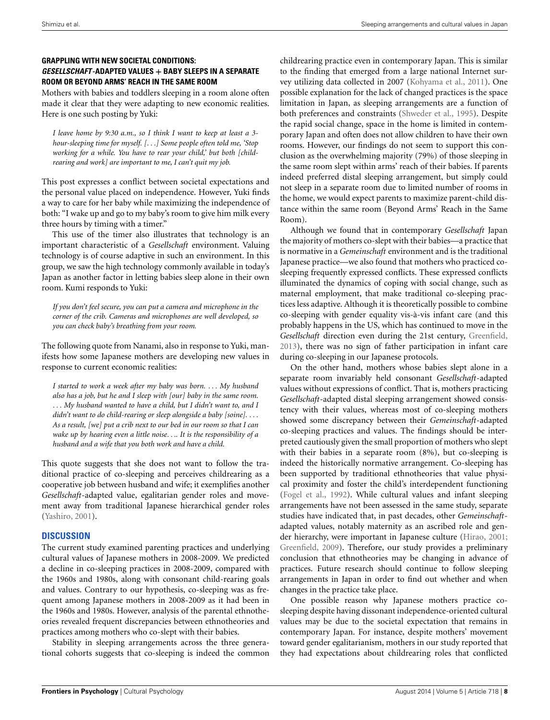## **GRAPPLING WITH NEW SOCIETAL CONDITIONS:** *GESELLSCHAFT* **-ADAPTED VALUES + BABY SLEEPS IN A SEPARATE ROOM OR BEYOND ARMS' REACH IN THE SAME ROOM**

Mothers with babies and toddlers sleeping in a room alone often made it clear that they were adapting to new economic realities. Here is one such posting by Yuki:

*I leave home by 9:30 a.m., so I think I want to keep at least a 3 hour-sleeping time for myself. [...] Some people often told me, 'Stop working for a while. You have to rear your child,' but both [childrearing and work] are important to me, I can't quit my job.*

This post expresses a conflict between societal expectations and the personal value placed on independence. However, Yuki finds a way to care for her baby while maximizing the independence of both: "I wake up and go to my baby's room to give him milk every three hours by timing with a timer."

This use of the timer also illustrates that technology is an important characteristic of a *Gesellschaft* environment. Valuing technology is of course adaptive in such an environment. In this group, we saw the high technology commonly available in today's Japan as another factor in letting babies sleep alone in their own room. Kumi responds to Yuki:

*If you don't feel secure, you can put a camera and microphone in the corner of the crib. Cameras and microphones are well developed, so you can check baby's breathing from your room.*

The following quote from Nanami, also in response to Yuki, manifests how some Japanese mothers are developing new values in response to current economic realities:

*I started to work a week after my baby was born. ... My husband also has a job, but he and I sleep with [our] baby in the same room. ... My husband wanted to have a child, but I didn't want to, and I didn't want to do child-rearing or sleep alongside a baby [soine]. ... As a result, [we] put a crib next to our bed in our room so that I can wake up by hearing even a little noise.... It is the responsibility of a husband and a wife that you both work and have a child.*

This quote suggests that she does not want to follow the traditional practice of co-sleeping and perceives childrearing as a cooperative job between husband and wife; it exemplifies another *Gesellschaft*-adapted value, egalitarian gender roles and movement away from traditional Japanese hierarchical gender roles [\(Yashiro, 2001](#page-9-15)).

## **DISCUSSION**

The current study examined parenting practices and underlying cultural values of Japanese mothers in 2008-2009. We predicted a decline in co-sleeping practices in 2008-2009, compared with the 1960s and 1980s, along with consonant child-rearing goals and values. Contrary to our hypothesis, co-sleeping was as frequent among Japanese mothers in 2008-2009 as it had been in the 1960s and 1980s. However, analysis of the parental ethnotheories revealed frequent discrepancies between ethnotheories and practices among mothers who co-slept with their babies.

Stability in sleeping arrangements across the three generational cohorts suggests that co-sleeping is indeed the common childrearing practice even in contemporary Japan. This is similar to the finding that emerged from a large national Internet survey utilizing data collected in 2007 [\(Kohyama et al.](#page-9-26), [2011\)](#page-9-26). One possible explanation for the lack of changed practices is the space limitation in Japan, as sleeping arrangements are a function of both preferences and constraints [\(Shweder et al., 1995](#page-9-9)). Despite the rapid social change, space in the home is limited in contemporary Japan and often does not allow children to have their own rooms. However, our findings do not seem to support this conclusion as the overwhelming majority (79%) of those sleeping in the same room slept within arms' reach of their babies. If parents indeed preferred distal sleeping arrangement, but simply could not sleep in a separate room due to limited number of rooms in the home, we would expect parents to maximize parent-child distance within the same room (Beyond Arms' Reach in the Same Room).

Although we found that in contemporary *Gesellschaft* Japan the majority of mothers co-slept with their babies—a practice that is normative in a *Gemeinschaft* environment and is the traditional Japanese practice—we also found that mothers who practiced cosleeping frequently expressed conflicts. These expressed conflicts illuminated the dynamics of coping with social change, such as maternal employment, that make traditional co-sleeping practices less adaptive. Although it is theoretically possible to combine co-sleeping with gender equality vis-à-vis infant care (and this probably happens in the US, which has continued to move in the *Gesellschaft* direction even during the 21st century, [Greenfield](#page-8-17), [2013](#page-8-17)), there was no sign of father participation in infant care during co-sleeping in our Japanese protocols.

On the other hand, mothers whose babies slept alone in a separate room invariably held consonant *Gesellschaft*-adapted values without expressions of conflict. That is, mothers practicing *Gesellschaft*-adapted distal sleeping arrangement showed consistency with their values, whereas most of co-sleeping mothers showed some discrepancy between their *Gemeinschaft*-adapted co-sleeping practices and values. The findings should be interpreted cautiously given the small proportion of mothers who slept with their babies in a separate room (8%), but co-sleeping is indeed the historically normative arrangement. Co-sleeping has been supported by traditional ethnotheories that value physical proximity and foster the child's interdependent functioning [\(Fogel et al.](#page-8-10), [1992\)](#page-8-10). While cultural values and infant sleeping arrangements have not been assessed in the same study, separate studies have indicated that, in past decades, other *Gemeinschaft*adapted values, notably maternity as an ascribed role and gender hierarchy, were important in Japanese culture [\(Hirao, 2001](#page-8-15); [Greenfield, 2009](#page-8-2)). Therefore, our study provides a preliminary conclusion that ethnotheories may be changing in advance of practices. Future research should continue to follow sleeping arrangements in Japan in order to find out whether and when changes in the practice take place.

One possible reason why Japanese mothers practice cosleeping despite having dissonant independence-oriented cultural values may be due to the societal expectation that remains in contemporary Japan. For instance, despite mothers' movement toward gender egalitarianism, mothers in our study reported that they had expectations about childrearing roles that conflicted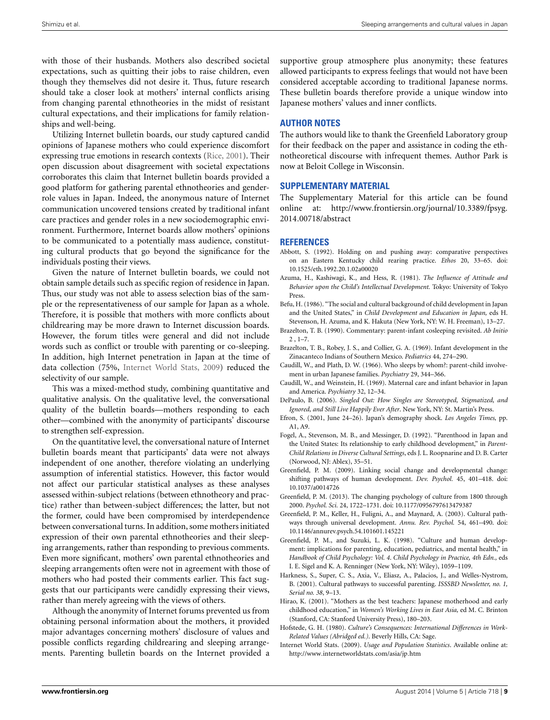with those of their husbands. Mothers also described societal expectations, such as quitting their jobs to raise children, even though they themselves did not desire it. Thus, future research should take a closer look at mothers' internal conflicts arising from changing parental ethnotheories in the midst of resistant cultural expectations, and their implications for family relationships and well-being.

Utilizing Internet bulletin boards, our study captured candid opinions of Japanese mothers who could experience discomfort expressing true emotions in research contexts [\(Rice](#page-9-16), [2001\)](#page-9-16). Their open discussion about disagreement with societal expectations corroborates this claim that Internet bulletin boards provided a good platform for gathering parental ethnotheories and genderrole values in Japan. Indeed, the anonymous nature of Internet communication uncovered tensions created by traditional infant care practices and gender roles in a new sociodemographic environment. Furthermore, Internet boards allow mothers' opinions to be communicated to a potentially mass audience, constituting cultural products that go beyond the significance for the individuals posting their views.

Given the nature of Internet bulletin boards, we could not obtain sample details such as specific region of residence in Japan. Thus, our study was not able to assess selection bias of the sample or the representativeness of our sample for Japan as a whole. Therefore, it is possible that mothers with more conflicts about childrearing may be more drawn to Internet discussion boards. However, the forum titles were general and did not include words such as conflict or trouble with parenting or co-sleeping. In addition, high Internet penetration in Japan at the time of data collection (75%, [Internet World Stats, 2009](#page-8-16)) reduced the selectivity of our sample.

This was a mixed-method study, combining quantitative and qualitative analysis. On the qualitative level, the conversational quality of the bulletin boards—mothers responding to each other—combined with the anonymity of participants' discourse to strengthen self-expression.

On the quantitative level, the conversational nature of Internet bulletin boards meant that participants' data were not always independent of one another, therefore violating an underlying assumption of inferential statistics. However, this factor would not affect our particular statistical analyses as these analyses assessed within-subject relations (between ethnotheory and practice) rather than between-subject differences; the latter, but not the former, could have been compromised by interdependence between conversational turns. In addition, some mothers initiated expression of their own parental ethnotheories and their sleeping arrangements, rather than responding to previous comments. Even more significant, mothers' own parental ethnotheories and sleeping arrangements often were not in agreement with those of mothers who had posted their comments earlier. This fact suggests that our participants were candidly expressing their views, rather than merely agreeing with the views of others.

Although the anonymity of Internet forums prevented us from obtaining personal information about the mothers, it provided major advantages concerning mothers' disclosure of values and possible conflicts regarding childrearing and sleeping arrangements. Parenting bulletin boards on the Internet provided a

supportive group atmosphere plus anonymity; these features allowed participants to express feelings that would not have been considered acceptable according to traditional Japanese norms. These bulletin boards therefore provide a unique window into Japanese mothers' values and inner conflicts.

## **AUTHOR NOTES**

The authors would like to thank the Greenfield Laboratory group for their feedback on the paper and assistance in coding the ethnotheoretical discourse with infrequent themes. Author Park is now at Beloit College in Wisconsin.

#### **SUPPLEMENTARY MATERIAL**

The Supplementary Material for this article can be found online at: http://www*.*frontiersin*.*[org/journal/10](http://www.frontiersin.org/journal/10.3389/fpsyg.2014.00718/abstract)*.*3389/fpsyg*.* 2014*.*[00718/abstract](http://www.frontiersin.org/journal/10.3389/fpsyg.2014.00718/abstract)

#### **REFERENCES**

- <span id="page-8-6"></span>Abbott, S. (1992). Holding on and pushing away: comparative perspectives on an Eastern Kentucky child rearing practice. *Ethos* 20, 33–65. doi: 10.1525/eth.1992.20.1.02a00020
- <span id="page-8-12"></span>Azuma, H., Kashiwagi, K., and Hess, R. (1981). *The Influence of Attitude and Behavior upon the Child's Intellectual Development.* Tokyo: University of Tokyo Press.
- <span id="page-8-11"></span>Befu, H. (1986). "The social and cultural background of child development in Japan and the United States," in *Child Development and Education in Japan,* eds H. Stevenson, H. Azuma, and K. Hakuta (New York, NY: W. H. Freeman), 13–27.
- <span id="page-8-8"></span>Brazelton, T. B. (1990). Commentary: parent-infant cosleeping revisited. *Ab Initio*  $2 \cdot 1 - 7$ .
- <span id="page-8-5"></span>Brazelton, T. B., Robey, J. S., and Collier, G. A. (1969). Infant development in the Zinacanteco Indians of Southern Mexico. *Pediatrics* 44, 274–290.
- <span id="page-8-1"></span>Caudill, W., and Plath, D. W. (1966). Who sleeps by whom?: parent-child involvement in urban Japanese families. *Psychiatry* 29, 344–366.
- <span id="page-8-9"></span>Caudill, W., and Weinstein, H. (1969). Maternal care and infant behavior in Japan and America. *Psychiatry* 32, 12–34.
- <span id="page-8-13"></span>DePaulo, B. (2006). *Singled Out: How Singles are Stereotyped, Stigmatized, and Ignored, and Still Live Happily Ever After*. New York, NY: St. Martin's Press.
- <span id="page-8-14"></span>Efron, S. (2001, June 24–26). Japan's demography shock. *Los Angeles Times,* pp. A1, A9.
- <span id="page-8-10"></span>Fogel, A., Stevenson, M. B., and Messinger, D. (1992). "Parenthood in Japan and the United States: Its relationship to early childhood development," in *Parent-Child Relations in Diverse Cultural Settings*, eds J. L. Roopnarine and D. B. Carter (Norwood, NJ: Ablex), 35–51.
- <span id="page-8-2"></span>Greenfield, P. M. (2009). Linking social change and developmental change: shifting pathways of human development. *Dev. Psychol.* 45, 401–418. doi: 10.1037/a0014726
- <span id="page-8-17"></span>Greenfield, P. M. (2013). The changing psychology of culture from 1800 through 2000. *Psychol. Sci.* 24, 1722–1731. doi: 10.1177/0956797613479387
- <span id="page-8-4"></span>Greenfield, P. M., Keller, H., Fuligni, A., and Maynard, A. (2003). Cultural pathways through universal development. *Annu. Rev. Psychol.* 54, 461–490. doi: 10.1146/annurev.psych.54.101601.145221
- <span id="page-8-7"></span>Greenfield, P. M., and Suzuki, L. K. (1998). "Culture and human development: implications for parenting, education, pediatrics, and mental health," in *Handbook of Child Psychology: Vol. 4*. *Child Psychology in Practice, 4th Edn.,* eds I. E. Sigel and K. A. Renninger (New York, NY: Wiley), 1059–1109.
- <span id="page-8-3"></span>Harkness, S., Super, C. S., Axia, V., Eliasz, A., Palacios, J., and Welles-Nystrom, B. (2001). Cultural pathways to successful parenting. *ISSSBD Newsletter, no. 1, Serial no. 38*, 9–13.
- <span id="page-8-15"></span>Hirao, K. (2001). "Mothers as the best teachers: Japanese motherhood and early childhood education," in *Women's Working Lives in East Asia,* ed M. C. Brinton (Stanford, CA: Stanford University Press), 180–203.
- <span id="page-8-0"></span>Hofstede, G. H. (1980). *Culture's Consequences: International Differences in Work-Related Values (Abridged ed.)*. Beverly Hills, CA: Sage.
- <span id="page-8-16"></span>Internet World Stats. (2009). *Usage and Population Statistics*. Available online at: http://www*.*[internetworldstats](http://www.internetworldstats.com/asia/jp.htm)*.*com/asia/jp*.*htm